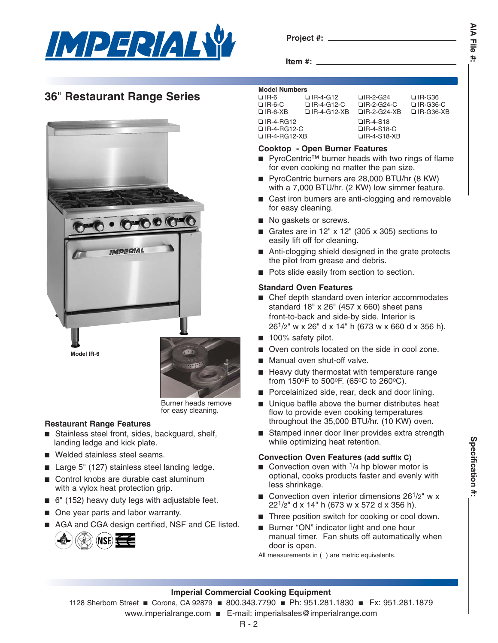

**Project #:**

**Item #:**

**AIA File AIA File #:** Ħ.

# **36**" **Restaurant Range Series**



Burner heads remove for easy cleaning.

## **Restaurant Range Features**

- Stainless steel front, sides, backguard, shelf, landing ledge and kick plate.
- Welded stainless steel seams.
- Large 5" (127) stainless steel landing ledge.
- Control knobs are durable cast aluminum with a vylox heat protection grip.
- 6" (152) heavy duty legs with adjustable feet.
- One year parts and labor warranty.
- AGA and CGA design certified, NSF and CE listed.



### **Model Numbers**

| <b>INIVUUI INUIIIINUI J</b> |                   |                    |                  |  |  |  |
|-----------------------------|-------------------|--------------------|------------------|--|--|--|
| $\Box$ IR-6                 | $\Box$ IR-4-G12   | $\Box$ IR-2-G24    | $\Box$ IR-G36    |  |  |  |
| $\Box$ IR-6-C               | $\Box$ IR-4-G12-C | $\Box$ IR-2-G24-C  | $\Box$ IR-G36-C  |  |  |  |
| $\Box$ IR-6-XB              | □ IR-4-G12-XB     | $\Box$ IR-2-G24-XB | $\Box$ IR-G36-XB |  |  |  |
| $\Box$ IR-4-RG12            |                   | $\Box$ IR-4-S18    |                  |  |  |  |
| □ IR-4-RG12-C               |                   | $\Box$ IR-4-S18-C  |                  |  |  |  |
| $\Box$ IR-4-RG12-XB         |                   | $\Box$ IR-4-S18-XB |                  |  |  |  |
|                             |                   |                    |                  |  |  |  |

## **Cooktop - Open Burner Features**

- PyroCentric<sup>™</sup> burner heads with two rings of flame for even cooking no matter the pan size.
- PyroCentric burners are 28,000 BTU/hr (8 KW) with a 7,000 BTU/hr. (2 KW) low simmer feature.
- Cast iron burners are anti-clogging and removable for easy cleaning.
- No gaskets or screws.
- Grates are in  $12"$  x  $12"$  (305 x 305) sections to easily lift off for cleaning.
- Anti-clogging shield designed in the grate protects the pilot from grease and debris.
- Pots slide easily from section to section.

## **Standard Oven Features**

- Chef depth standard oven interior accommodates standard 18" x 26" (457 x 660) sheet pans front-to-back and side-by side. Interior is 261/2" w x 26" d x 14" h (673 w x 660 d x 356 h).
- 100% safety pilot.
- Oven controls located on the side in cool zone.
- Manual oven shut-off valve.
- Heavy duty thermostat with temperature range from  $150^{\circ}$ F to  $500^{\circ}$ F. (65 $^{\circ}$ C to 260 $^{\circ}$ C).
- Porcelainized side, rear, deck and door lining.
- Unique baffle above the burner distributes heat flow to provide even cooking temperatures throughout the 35,000 BTU/hr. (10 KW) oven.
- Stamped inner door liner provides extra strength while optimizing heat retention.

## **Convection Oven Features (add suffix C)**

- Convection oven with  $\frac{1}{4}$  hp blower motor is optional, cooks products faster and evenly with less shrinkage.
- Convection oven interior dimensions  $26<sup>1</sup>/2$ " w x 221/2" d x 14" h (673 w x 572 d x 356 h).
- Three position switch for cooking or cool down.
- Burner "ON" indicator light and one hour manual timer. Fan shuts off automatically when door is open.
- All measurements in ( ) are metric equivalents.

## **Imperial Commercial Cooking Equipment**

- 1128 Sherborn Street Corona, CA 92879 800.343.7790 Ph: 951.281.1830 Fx: 951.281.1879
	- www.imperialrange.com E-mail: imperialsales@imperialrange.com